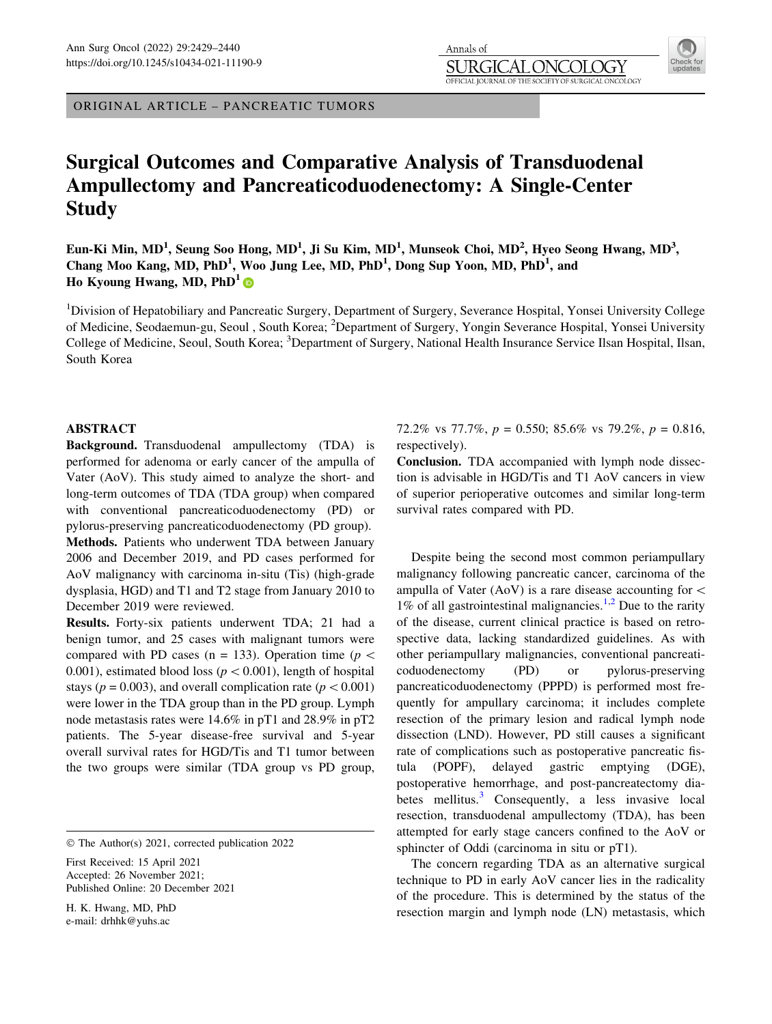ORIGINAL ARTICLE – PANCREATIC TUMORS

# Surgical Outcomes and Comparative Analysis of Transduodenal Ampullectomy and Pancreaticoduodenectomy: A Single-Center **Study**

Eun-Ki Min, MD<sup>1</sup>, Seung Soo Hong, MD<sup>1</sup>, Ji Su Kim, MD<sup>1</sup>, Munseok Choi, MD<sup>2</sup>, Hyeo Seong Hwang, MD<sup>3</sup>, Chang Moo Kang, MD, PhD<sup>1</sup>, Woo Jung Lee, MD, PhD<sup>1</sup>, Dong Sup Yoon, MD, PhD<sup>1</sup>, and Ho Kyoung Hwang, MD,  $PhD<sup>1</sup>$ 

Annals of SURGIO

<sup>1</sup>Division of Hepatobiliary and Pancreatic Surgery, Department of Surgery, Severance Hospital, Yonsei University College of Medicine, Seodaemun-gu, Seoul, South Korea; <sup>2</sup>Department of Surgery, Yongin Severance Hospital, Yonsei University College of Medicine, Seoul, South Korea; <sup>3</sup>Department of Surgery, National Health Insurance Service Ilsan Hospital, Ilsan, South Korea

## ABSTRACT

Background. Transduodenal ampullectomy (TDA) is performed for adenoma or early cancer of the ampulla of Vater (AoV). This study aimed to analyze the short- and long-term outcomes of TDA (TDA group) when compared with conventional pancreaticoduodenectomy (PD) or pylorus-preserving pancreaticoduodenectomy (PD group). Methods. Patients who underwent TDA between January 2006 and December 2019, and PD cases performed for AoV malignancy with carcinoma in-situ (Tis) (high-grade dysplasia, HGD) and T1 and T2 stage from January 2010 to December 2019 were reviewed.

Results. Forty-six patients underwent TDA; 21 had a benign tumor, and 25 cases with malignant tumors were compared with PD cases (n = 133). Operation time ( $p$  < 0.001), estimated blood loss ( $p < 0.001$ ), length of hospital stays ( $p = 0.003$ ), and overall complication rate ( $p < 0.001$ ) were lower in the TDA group than in the PD group. Lymph node metastasis rates were 14.6% in pT1 and 28.9% in pT2 patients. The 5-year disease-free survival and 5-year overall survival rates for HGD/Tis and T1 tumor between the two groups were similar (TDA group vs PD group,

First Received: 15 April 2021 Accepted: 26 November 2021; Published Online: 20 December 2021

H. K. Hwang, MD, PhD e-mail: drhhk@yuhs.ac

72.2% vs 77.7%,  $p = 0.550$ ; 85.6% vs 79.2%,  $p = 0.816$ , respectively).

Conclusion. TDA accompanied with lymph node dissection is advisable in HGD/Tis and T1 AoV cancers in view of superior perioperative outcomes and similar long-term survival rates compared with PD.

Despite being the second most common periampullary malignancy following pancreatic cancer, carcinoma of the ampulla of Vater (AoV) is a rare disease accounting for  $\lt$ 1% of all gastrointestinal malignancies.<sup>[1,2](#page-10-0)</sup> Due to the rarity of the disease, current clinical practice is based on retrospective data, lacking standardized guidelines. As with other periampullary malignancies, conventional pancreaticoduodenectomy (PD) or pylorus-preserving pancreaticoduodenectomy (PPPD) is performed most frequently for ampullary carcinoma; it includes complete resection of the primary lesion and radical lymph node dissection (LND). However, PD still causes a significant rate of complications such as postoperative pancreatic fistula (POPF), delayed gastric emptying (DGE), postoperative hemorrhage, and post-pancreatectomy diabetes mellitus. $3$  Consequently, a less invasive local resection, transduodenal ampullectomy (TDA), has been attempted for early stage cancers confined to the AoV or sphincter of Oddi (carcinoma in situ or pT1).

The concern regarding TDA as an alternative surgical technique to PD in early AoV cancer lies in the radicality of the procedure. This is determined by the status of the resection margin and lymph node (LN) metastasis, which

 $\chi$  )  $\chi$  )

OFFICIAL JOURNAL OF THE SOCIETY OF SURGICAL ONCOLOGY

<sup>©</sup> The Author(s) 2021, corrected publication 2022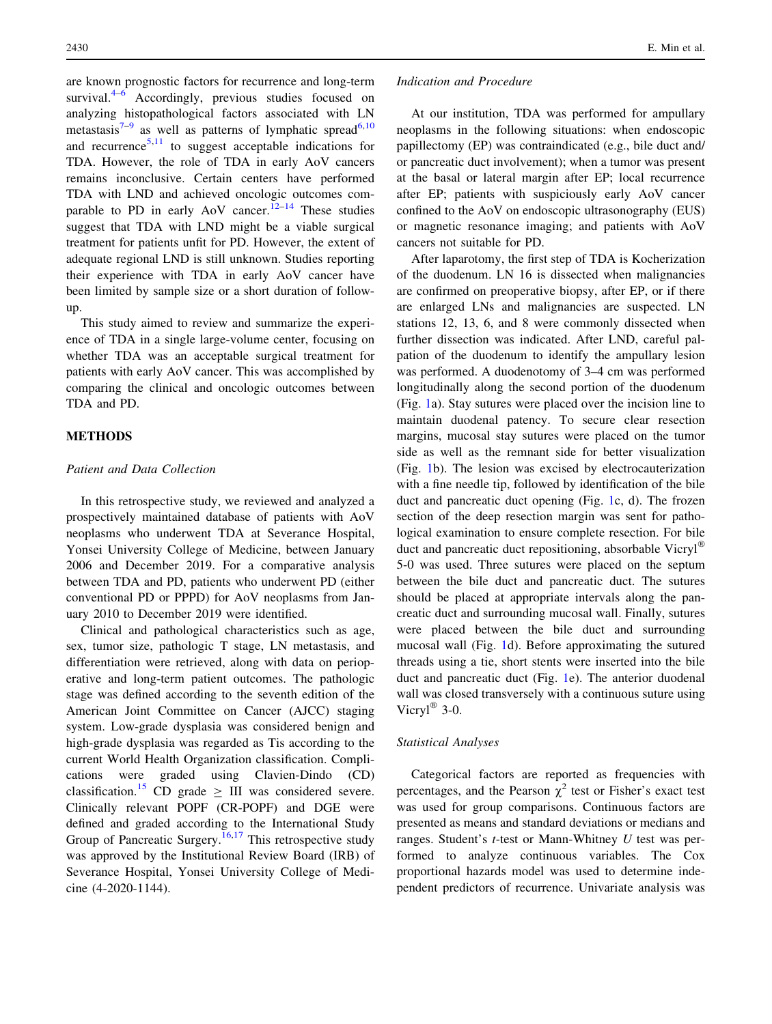are known prognostic factors for recurrence and long-term survival. $4-6$  Accordingly, previous studies focused on analyzing histopathological factors associated with LN metastasis $7-9$  as well as patterns of lymphatic spread<sup>[6,10](#page-10-0)</sup> and recurrence<sup>[5,11](#page-10-0)</sup> to suggest acceptable indications for TDA. However, the role of TDA in early AoV cancers remains inconclusive. Certain centers have performed TDA with LND and achieved oncologic outcomes comparable to PD in early AoV cancer.<sup>12–14</sup> These studies suggest that TDA with LND might be a viable surgical treatment for patients unfit for PD. However, the extent of adequate regional LND is still unknown. Studies reporting their experience with TDA in early AoV cancer have been limited by sample size or a short duration of followup.

This study aimed to review and summarize the experience of TDA in a single large-volume center, focusing on whether TDA was an acceptable surgical treatment for patients with early AoV cancer. This was accomplished by comparing the clinical and oncologic outcomes between TDA and PD.

### METHODS

#### Patient and Data Collection

In this retrospective study, we reviewed and analyzed a prospectively maintained database of patients with AoV neoplasms who underwent TDA at Severance Hospital, Yonsei University College of Medicine, between January 2006 and December 2019. For a comparative analysis between TDA and PD, patients who underwent PD (either conventional PD or PPPD) for AoV neoplasms from January 2010 to December 2019 were identified.

Clinical and pathological characteristics such as age, sex, tumor size, pathologic T stage, LN metastasis, and differentiation were retrieved, along with data on perioperative and long-term patient outcomes. The pathologic stage was defined according to the seventh edition of the American Joint Committee on Cancer (AJCC) staging system. Low-grade dysplasia was considered benign and high-grade dysplasia was regarded as Tis according to the current World Health Organization classification. Complications were graded using Clavien-Dindo (CD) classification.<sup>[15](#page-10-0)</sup> CD grade  $\geq$  III was considered severe. Clinically relevant POPF (CR-POPF) and DGE were defined and graded according to the International Study Group of Pancreatic Surgery.<sup>[16,17](#page-10-0)</sup> This retrospective study was approved by the Institutional Review Board (IRB) of Severance Hospital, Yonsei University College of Medicine (4-2020-1144).

#### Indication and Procedure

At our institution, TDA was performed for ampullary neoplasms in the following situations: when endoscopic papillectomy (EP) was contraindicated (e.g., bile duct and/ or pancreatic duct involvement); when a tumor was present at the basal or lateral margin after EP; local recurrence after EP; patients with suspiciously early AoV cancer confined to the AoV on endoscopic ultrasonography (EUS) or magnetic resonance imaging; and patients with AoV cancers not suitable for PD.

After laparotomy, the first step of TDA is Kocherization of the duodenum. LN 16 is dissected when malignancies are confirmed on preoperative biopsy, after EP, or if there are enlarged LNs and malignancies are suspected. LN stations 12, 13, 6, and 8 were commonly dissected when further dissection was indicated. After LND, careful palpation of the duodenum to identify the ampullary lesion was performed. A duodenotomy of 3–4 cm was performed longitudinally along the second portion of the duodenum (Fig. [1](#page-2-0)a). Stay sutures were placed over the incision line to maintain duodenal patency. To secure clear resection margins, mucosal stay sutures were placed on the tumor side as well as the remnant side for better visualization (Fig. [1](#page-2-0)b). The lesion was excised by electrocauterization with a fine needle tip, followed by identification of the bile duct and pancreatic duct opening (Fig. [1](#page-2-0)c, d). The frozen section of the deep resection margin was sent for pathological examination to ensure complete resection. For bile duct and pancreatic duct repositioning, absorbable Vicryl 5-0 was used. Three sutures were placed on the septum between the bile duct and pancreatic duct. The sutures should be placed at appropriate intervals along the pancreatic duct and surrounding mucosal wall. Finally, sutures were placed between the bile duct and surrounding mucosal wall (Fig. [1d](#page-2-0)). Before approximating the sutured threads using a tie, short stents were inserted into the bile duct and pancreatic duct (Fig. [1](#page-2-0)e). The anterior duodenal wall was closed transversely with a continuous suture using Vicryl $^{\circledR}$  3-0.

#### Statistical Analyses

Categorical factors are reported as frequencies with percentages, and the Pearson  $\chi^2$  test or Fisher's exact test was used for group comparisons. Continuous factors are presented as means and standard deviations or medians and ranges. Student's t-test or Mann-Whitney U test was performed to analyze continuous variables. The Cox proportional hazards model was used to determine independent predictors of recurrence. Univariate analysis was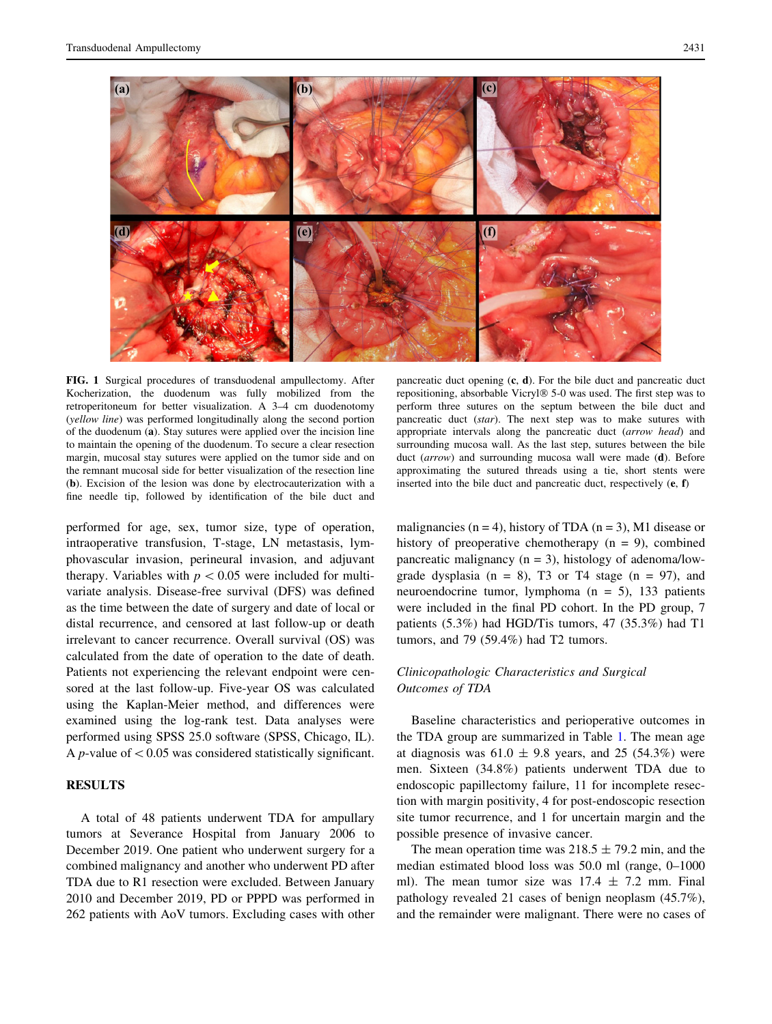<span id="page-2-0"></span>

FIG. 1 Surgical procedures of transduodenal ampullectomy. After Kocherization, the duodenum was fully mobilized from the retroperitoneum for better visualization. A 3–4 cm duodenotomy (yellow line) was performed longitudinally along the second portion of the duodenum (a). Stay sutures were applied over the incision line to maintain the opening of the duodenum. To secure a clear resection margin, mucosal stay sutures were applied on the tumor side and on the remnant mucosal side for better visualization of the resection line (b). Excision of the lesion was done by electrocauterization with a fine needle tip, followed by identification of the bile duct and

performed for age, sex, tumor size, type of operation, intraoperative transfusion, T-stage, LN metastasis, lymphovascular invasion, perineural invasion, and adjuvant therapy. Variables with  $p < 0.05$  were included for multivariate analysis. Disease-free survival (DFS) was defined as the time between the date of surgery and date of local or distal recurrence, and censored at last follow-up or death irrelevant to cancer recurrence. Overall survival (OS) was calculated from the date of operation to the date of death. Patients not experiencing the relevant endpoint were censored at the last follow-up. Five-year OS was calculated using the Kaplan-Meier method, and differences were examined using the log-rank test. Data analyses were performed using SPSS 25.0 software (SPSS, Chicago, IL). A *p*-value of  $< 0.05$  was considered statistically significant.

# RESULTS

A total of 48 patients underwent TDA for ampullary tumors at Severance Hospital from January 2006 to December 2019. One patient who underwent surgery for a combined malignancy and another who underwent PD after TDA due to R1 resection were excluded. Between January 2010 and December 2019, PD or PPPD was performed in 262 patients with AoV tumors. Excluding cases with other

pancreatic duct opening  $(c, d)$ . For the bile duct and pancreatic duct repositioning, absorbable Vicryl® 5-0 was used. The first step was to perform three sutures on the septum between the bile duct and pancreatic duct (star). The next step was to make sutures with appropriate intervals along the pancreatic duct (arrow head) and surrounding mucosa wall. As the last step, sutures between the bile duct (arrow) and surrounding mucosa wall were made (d). Before approximating the sutured threads using a tie, short stents were inserted into the bile duct and pancreatic duct, respectively (e, f)

malignancies (n = 4), history of TDA (n = 3), M1 disease or history of preoperative chemotherapy  $(n = 9)$ , combined pancreatic malignancy  $(n = 3)$ , histology of adenoma/lowgrade dysplasia ( $n = 8$ ), T<sub>3</sub> or T<sub>4</sub> stage ( $n = 97$ ), and neuroendocrine tumor, lymphoma (n = 5), 133 patients were included in the final PD cohort. In the PD group, 7 patients (5.3%) had HGD/Tis tumors, 47 (35.3%) had T1 tumors, and 79 (59.4%) had T2 tumors.

# Clinicopathologic Characteristics and Surgical Outcomes of TDA

Baseline characteristics and perioperative outcomes in the TDA group are summarized in Table [1](#page-3-0). The mean age at diagnosis was  $61.0 \pm 9.8$  years, and 25 (54.3%) were men. Sixteen (34.8%) patients underwent TDA due to endoscopic papillectomy failure, 11 for incomplete resection with margin positivity, 4 for post-endoscopic resection site tumor recurrence, and 1 for uncertain margin and the possible presence of invasive cancer.

The mean operation time was  $218.5 \pm 79.2$  min, and the median estimated blood loss was 50.0 ml (range, 0–1000 ml). The mean tumor size was  $17.4 \pm 7.2$  mm. Final pathology revealed 21 cases of benign neoplasm (45.7%), and the remainder were malignant. There were no cases of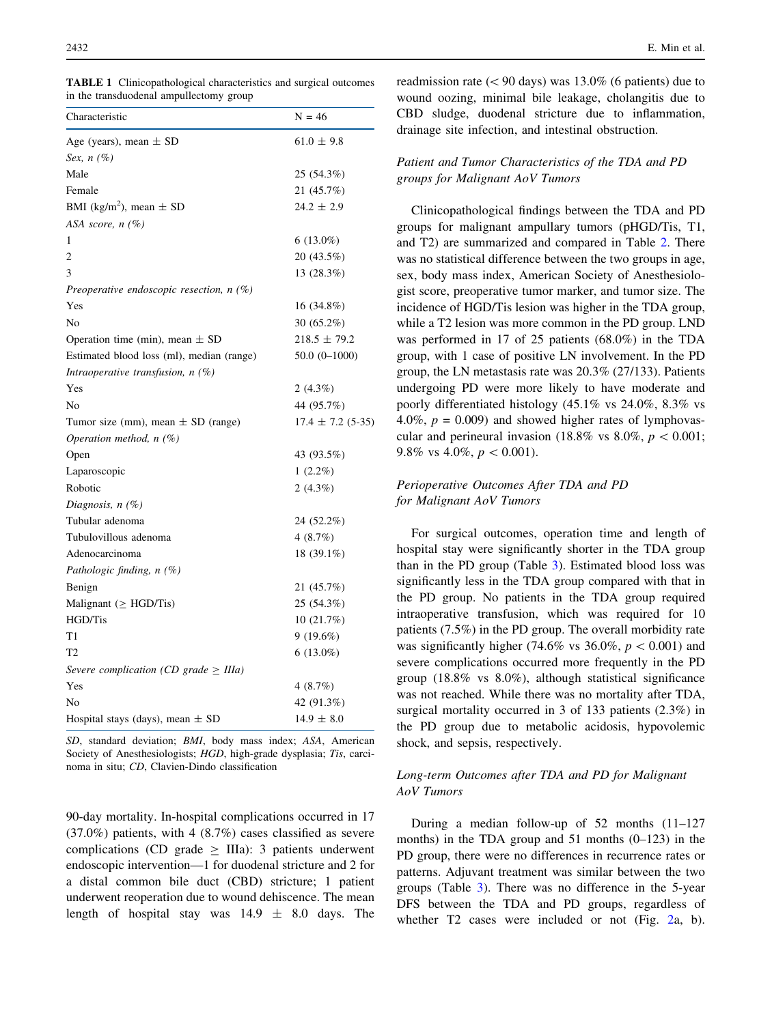<span id="page-3-0"></span>

| <b>TABLE 1</b> Clinicopathological characteristics and surgical outcomes |  |
|--------------------------------------------------------------------------|--|
| in the transduodenal ampullectomy group                                  |  |

| Characteristic                             | $N = 46$              |
|--------------------------------------------|-----------------------|
| Age (years), mean $\pm$ SD                 | $61.0 \pm 9.8$        |
| Sex, $n(\%)$                               |                       |
| Male                                       | 25 (54.3%)            |
| Female                                     | 21 (45.7%)            |
| BMI (kg/m <sup>2</sup> ), mean $\pm$ SD    | $24.2 \pm 2.9$        |
| ASA score, n (%)                           |                       |
| 1                                          | $6(13.0\%)$           |
| 2                                          | 20 (43.5%)            |
| 3                                          | 13 (28.3%)            |
| Preoperative endoscopic resection, $n(\%)$ |                       |
| Yes                                        | 16 (34.8%)            |
| No                                         | $30(65.2\%)$          |
| Operation time (min), mean $\pm$ SD        | $218.5 \pm 79.2$      |
| Estimated blood loss (ml), median (range)  | $50.0(0-1000)$        |
| Intraoperative transfusion, $n$ (%)        |                       |
| Yes                                        | $2(4.3\%)$            |
| No                                         | 44 (95.7%)            |
| Tumor size (mm), mean $\pm$ SD (range)     | $17.4 \pm 7.2$ (5-35) |
| Operation method, $n$ (%)                  |                       |
| Open                                       | 43 (93.5%)            |
| Laparoscopic                               | $1(2.2\%)$            |
| Robotic                                    | $2(4.3\%)$            |
| Diagnosis, $n(\%)$                         |                       |
| Tubular adenoma                            | 24 (52.2%)            |
| Tubulovillous adenoma                      | 4(8.7%)               |
| Adenocarcinoma                             | 18 (39.1%)            |
| Pathologic finding, $n(\%)$                |                       |
| Benign                                     | 21 (45.7%)            |
| Malignant ( $\geq$ HGD/Tis)                | 25 (54.3%)            |
| HGD/Tis                                    | 10(21.7%)             |
| T1                                         | 9(19.6%)              |
| T <sub>2</sub>                             | $6(13.0\%)$           |
| Severe complication (CD grade $\geq$ IIIa) |                       |
| Yes                                        | 4(8.7%)               |
| No                                         | 42 (91.3%)            |
| Hospital stays (days), mean $\pm$ SD       | $14.9 \pm 8.0$        |
|                                            |                       |

SD, standard deviation; BMI, body mass index; ASA, American Society of Anesthesiologists; HGD, high-grade dysplasia; Tis, carcinoma in situ; CD, Clavien-Dindo classification

90-day mortality. In-hospital complications occurred in 17 (37.0%) patients, with 4 (8.7%) cases classified as severe complications (CD grade  $>$  IIIa): 3 patients underwent endoscopic intervention—1 for duodenal stricture and 2 for a distal common bile duct (CBD) stricture; 1 patient underwent reoperation due to wound dehiscence. The mean length of hospital stay was  $14.9 \pm 8.0$  days. The

readmission rate ( $\leq 90$  days) was 13.0% (6 patients) due to wound oozing, minimal bile leakage, cholangitis due to CBD sludge, duodenal stricture due to inflammation, drainage site infection, and intestinal obstruction.

### Patient and Tumor Characteristics of the TDA and PD groups for Malignant AoV Tumors

Clinicopathological findings between the TDA and PD groups for malignant ampullary tumors (pHGD/Tis, T1, and T2) are summarized and compared in Table [2.](#page-4-0) There was no statistical difference between the two groups in age, sex, body mass index, American Society of Anesthesiologist score, preoperative tumor marker, and tumor size. The incidence of HGD/Tis lesion was higher in the TDA group, while a T2 lesion was more common in the PD group. LND was performed in 17 of 25 patients (68.0%) in the TDA group, with 1 case of positive LN involvement. In the PD group, the LN metastasis rate was 20.3% (27/133). Patients undergoing PD were more likely to have moderate and poorly differentiated histology (45.1% vs 24.0%, 8.3% vs 4.0%,  $p = 0.009$ ) and showed higher rates of lymphovascular and perineural invasion (18.8% vs  $8.0\%$ ,  $p < 0.001$ ; 9.8% vs 4.0%,  $p < 0.001$ ).

# Perioperative Outcomes After TDA and PD for Malignant AoV Tumors

For surgical outcomes, operation time and length of hospital stay were significantly shorter in the TDA group than in the PD group (Table [3\)](#page-5-0). Estimated blood loss was significantly less in the TDA group compared with that in the PD group. No patients in the TDA group required intraoperative transfusion, which was required for 10 patients (7.5%) in the PD group. The overall morbidity rate was significantly higher (74.6% vs 36.0%,  $p < 0.001$ ) and severe complications occurred more frequently in the PD group (18.8% vs 8.0%), although statistical significance was not reached. While there was no mortality after TDA, surgical mortality occurred in 3 of 133 patients (2.3%) in the PD group due to metabolic acidosis, hypovolemic shock, and sepsis, respectively.

# Long-term Outcomes after TDA and PD for Malignant AoV Tumors

During a median follow-up of 52 months (11–127 months) in the TDA group and 51 months (0–123) in the PD group, there were no differences in recurrence rates or patterns. Adjuvant treatment was similar between the two groups (Table [3](#page-5-0)). There was no difference in the 5-year DFS between the TDA and PD groups, regardless of whether T[2](#page-6-0) cases were included or not (Fig. 2a, b).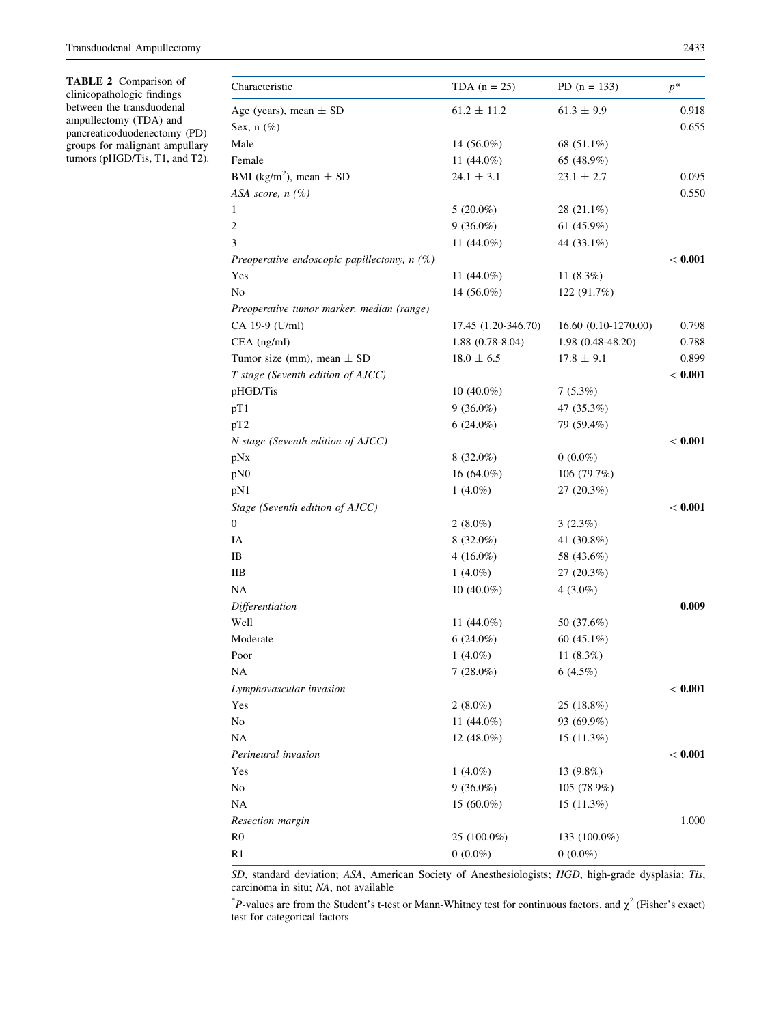<span id="page-4-0"></span>TABLE 2 Comparison of clinicopathologic findings between the transduodenal ampullectomy (TDA) and pancreaticoduodenectomy (PD) groups for malignant ampullary tumors (pHGD/Tis, T1, and T2).

| Characteristic                                | TDA $(n = 25)$      | PD $(n = 133)$       | $p^*$   |
|-----------------------------------------------|---------------------|----------------------|---------|
| Age (years), mean $\pm$ SD                    | $61.2 \pm 11.2$     | $61.3\,\pm\,9.9$     | 0.918   |
| Sex, $n$ (%)                                  |                     |                      | 0.655   |
| Male                                          | 14 $(56.0\%)$       | 68 (51.1%)           |         |
| Female                                        | 11 (44.0%)          | 65 (48.9%)           |         |
| BMI (kg/m <sup>2</sup> ), mean $\pm$ SD       | $24.1 \pm 3.1$      | $23.1 \pm 2.7$       | 0.095   |
| ASA score, $n$ (%)                            |                     |                      | 0.550   |
| 1                                             | $5(20.0\%)$         | 28 (21.1%)           |         |
| $\overline{c}$                                | $9(36.0\%)$         | 61 $(45.9\%)$        |         |
| 3                                             | 11 (44.0%)          | 44 (33.1%)           |         |
| Preoperative endoscopic papillectomy, $n(\%)$ |                     |                      | < 0.001 |
| Yes                                           | 11 $(44.0\%)$       | 11 $(8.3\%)$         |         |
| No                                            | 14 $(56.0\%)$       | 122 (91.7%)          |         |
| Preoperative tumor marker, median (range)     |                     |                      |         |
| CA 19-9 (U/ml)                                | 17.45 (1.20-346.70) | 16.60 (0.10-1270.00) | 0.798   |
| CEA (ng/ml)                                   | $1.88(0.78-8.04)$   | 1.98 (0.48-48.20)    | 0.788   |
| Tumor size (mm), mean $\pm$ SD                | $18.0 \pm 6.5$      | $17.8 \pm 9.1$       | 0.899   |
| T stage (Seventh edition of AJCC)             |                     |                      | < 0.001 |
| pHGD/Tis                                      | $10(40.0\%)$        | $7(5.3\%)$           |         |
| pT1                                           | $9(36.0\%)$         | 47 (35.3%)           |         |
| pT2                                           | $6(24.0\%)$         | 79 (59.4%)           |         |
| N stage (Seventh edition of AJCC)             |                     |                      | < 0.001 |
| pNx                                           | $8(32.0\%)$         | $0(0.0\%)$           |         |
| pN0                                           | 16 (64.0%)          | 106 (79.7%)          |         |
| pN1                                           | 1 $(4.0\%)$         | 27(20.3%)            |         |
| Stage (Seventh edition of AJCC)               |                     |                      | < 0.001 |
| 0                                             | $2(8.0\%)$          | $3(2.3\%)$           |         |
| IA                                            | $8(32.0\%)$         | 41 (30.8%)           |         |
| IB                                            | $4(16.0\%)$         | 58 (43.6%)           |         |
| HВ                                            | 1 $(4.0\%)$         | 27 (20.3%)           |         |
| NA                                            | $10(40.0\%)$        | 4 $(3.0\%)$          |         |
| Differentiation                               |                     |                      | 0.009   |
| Well                                          | 11 $(44.0\%)$       | 50 (37.6%)           |         |
| Moderate                                      | $6(24.0\%)$         | 60 $(45.1\%)$        |         |
| Poor                                          | $1(4.0\%)$          | 11 (8.3%)            |         |
| NA                                            | $7(28.0\%)$         | $6(4.5\%)$           |         |
| Lymphovascular invasion                       |                     |                      | < 0.001 |
| Yes                                           | $2(8.0\%)$          | 25 (18.8%)           |         |
| No                                            | 11 (44.0%)          | 93 (69.9%)           |         |
| NA                                            | 12 (48.0%)          | 15 (11.3%)           |         |
| Perineural invasion                           |                     |                      | < 0.001 |
| Yes                                           | $1(4.0\%)$          | 13 (9.8%)            |         |
| No                                            | $9(36.0\%)$         | 105 (78.9%)          |         |
| NA                                            | 15 $(60.0\%)$       | 15(11.3%)            |         |
| Resection margin                              |                     |                      | 1.000   |
| R <sub>0</sub>                                | 25 (100.0%)         | 133 (100.0%)         |         |
| R1                                            | $0(0.0\%)$          | $0(0.0\%)$           |         |

SD, standard deviation; ASA, American Society of Anesthesiologists; HGD, high-grade dysplasia; Tis, carcinoma in situ; NA, not available

\*P-values are from the Student's t-test or Mann-Whitney test for continuous factors, and  $\chi^2$  (Fisher's exact) test for categorical factors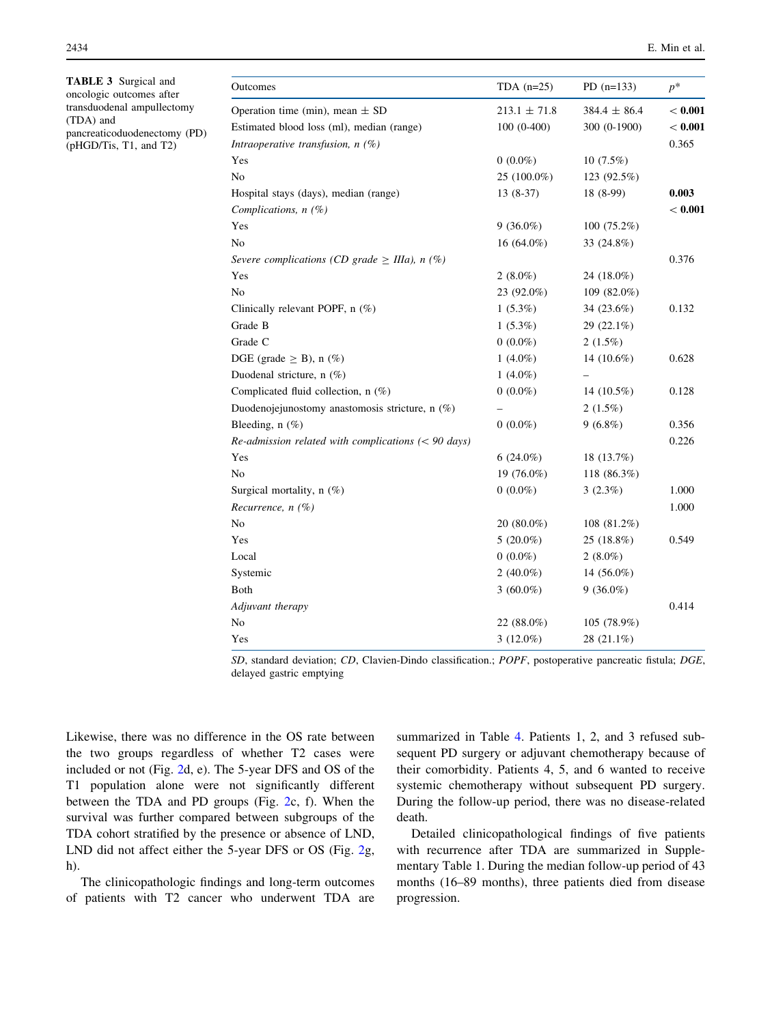<span id="page-5-0"></span>2434 E. Min et al.

| TABLE 3 Surgical and<br>oncologic outcomes after | Outcomes                                               | TDA $(n=25)$     | PD $(n=133)$     | $p^*$     |
|--------------------------------------------------|--------------------------------------------------------|------------------|------------------|-----------|
| transduodenal ampullectomy                       | Operation time (min), mean $\pm$ SD                    | $213.1 \pm 71.8$ | $384.4 \pm 86.4$ | < 0.001   |
| (TDA) and<br>pancreaticoduodenectomy (PD)        | Estimated blood loss (ml), median (range)              | $100(0-400)$     | 300 (0-1900)     | $< 0.001$ |
| (pHGD/Tis, T1, and T2)                           | Intraoperative transfusion, $n$ (%)                    |                  |                  | 0.365     |
|                                                  | Yes                                                    | $0(0.0\%)$       | $10(7.5\%)$      |           |
|                                                  | No                                                     | 25 (100.0%)      | 123 (92.5%)      |           |
|                                                  | Hospital stays (days), median (range)                  | $13(8-37)$       | 18 (8-99)        | 0.003     |
|                                                  | Complications, $n$ (%)                                 |                  |                  | < 0.001   |
|                                                  | Yes                                                    | $9(36.0\%)$      | $100(75.2\%)$    |           |
|                                                  | N <sub>o</sub>                                         | $16(64.0\%)$     | 33 (24.8%)       |           |
|                                                  | Severe complications (CD grade $\geq$ IIIa), n (%)     |                  |                  | 0.376     |
|                                                  | Yes                                                    | $2(8.0\%)$       | 24 (18.0%)       |           |
|                                                  | No                                                     | 23 (92.0%)       | 109 $(82.0\%)$   |           |
|                                                  | Clinically relevant POPF, n (%)                        | $1(5.3\%)$       | 34 (23.6%)       | 0.132     |
|                                                  | Grade B                                                | $1(5.3\%)$       | 29 (22.1%)       |           |
|                                                  | Grade C                                                | $0(0.0\%)$       | $2(1.5\%)$       |           |
|                                                  | DGE (grade $\geq$ B), n (%)                            | 1 $(4.0\%)$      | 14 $(10.6\%)$    | 0.628     |
|                                                  | Duodenal stricture, n (%)                              | 1 $(4.0\%)$      |                  |           |
|                                                  | Complicated fluid collection, n (%)                    | $0(0.0\%)$       | 14 (10.5%)       | 0.128     |
|                                                  | Duodenojejunostomy anastomosis stricture, n $(\%)$     |                  | $2(1.5\%)$       |           |
|                                                  | Bleeding, $n$ (%)                                      | $0(0.0\%)$       | $9(6.8\%)$       | 0.356     |
|                                                  | $Re$ -admission related with complications (< 90 days) |                  |                  | 0.226     |
|                                                  | Yes                                                    | $6(24.0\%)$      | 18 (13.7%)       |           |
|                                                  | No                                                     | 19 (76.0%)       | 118 (86.3%)      |           |
|                                                  | Surgical mortality, $n$ (%)                            | $0(0.0\%)$       | $3(2.3\%)$       | 1.000     |
|                                                  | Recurrence, $n$ (%)                                    |                  |                  | 1.000     |
|                                                  | No                                                     | $20(80.0\%)$     | 108 (81.2%)      |           |
|                                                  | Yes                                                    | $5(20.0\%)$      | 25 (18.8%)       | 0.549     |
|                                                  | Local                                                  | $0(0.0\%)$       | $2(8.0\%)$       |           |
|                                                  | Systemic                                               | 2 $(40.0\%)$     | 14 (56.0%)       |           |
|                                                  | Both                                                   | $3(60.0\%)$      | $9(36.0\%)$      |           |
|                                                  | Adjuvant therapy                                       |                  |                  | 0.414     |
|                                                  | No                                                     | 22 $(88.0\%)$    | 105 (78.9%)      |           |
|                                                  | Yes                                                    | $3(12.0\%)$      | 28 (21.1%)       |           |

SD, standard deviation; CD, Clavien-Dindo classification.; POPF, postoperative pancreatic fistula; DGE, delayed gastric emptying

Likewise, there was no difference in the OS rate between the two groups regardless of whether T2 cases were included or not (Fig. [2d](#page-6-0), e). The 5-year DFS and OS of the T1 population alone were not significantly different between the TDA and PD groups (Fig. [2](#page-6-0)c, f). When the survival was further compared between subgroups of the TDA cohort stratified by the presence or absence of LND, LND did not affect either the 5-year DFS or OS (Fig. [2g](#page-6-0), h).

The clinicopathologic findings and long-term outcomes of patients with T2 cancer who underwent TDA are summarized in Table [4](#page-7-0). Patients 1, 2, and 3 refused subsequent PD surgery or adjuvant chemotherapy because of their comorbidity. Patients 4, 5, and 6 wanted to receive systemic chemotherapy without subsequent PD surgery. During the follow-up period, there was no disease-related death.

Detailed clinicopathological findings of five patients with recurrence after TDA are summarized in Supplementary Table 1. During the median follow-up period of 43 months (16–89 months), three patients died from disease progression.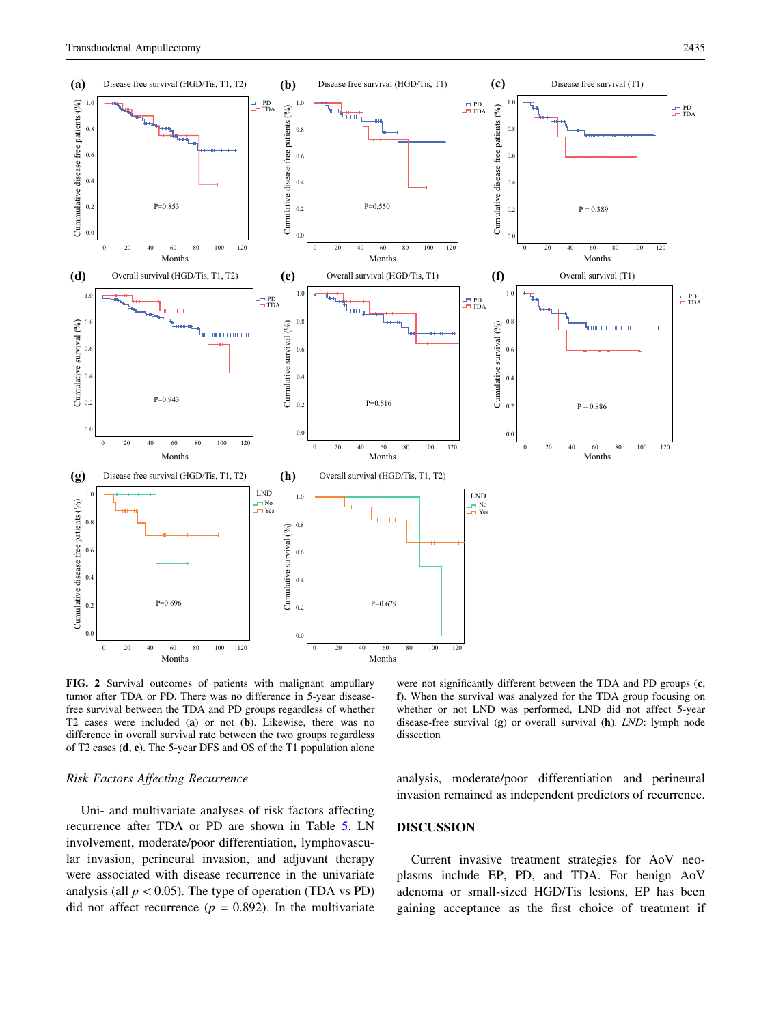<span id="page-6-0"></span>

FIG. 2 Survival outcomes of patients with malignant ampullary tumor after TDA or PD. There was no difference in 5-year diseasefree survival between the TDA and PD groups regardless of whether T2 cases were included (a) or not (b). Likewise, there was no difference in overall survival rate between the two groups regardless of T2 cases (d, e). The 5-year DFS and OS of the T1 population alone

#### Risk Factors Affecting Recurrence

Uni- and multivariate analyses of risk factors affecting recurrence after TDA or PD are shown in Table [5.](#page-8-0) LN involvement, moderate/poor differentiation, lymphovascular invasion, perineural invasion, and adjuvant therapy were associated with disease recurrence in the univariate analysis (all  $p < 0.05$ ). The type of operation (TDA vs PD) did not affect recurrence ( $p = 0.892$ ). In the multivariate

were not significantly different between the TDA and PD groups  $(c, c)$ f). When the survival was analyzed for the TDA group focusing on whether or not LND was performed, LND did not affect 5-year disease-free survival (g) or overall survival (h). LND: lymph node dissection

analysis, moderate/poor differentiation and perineural invasion remained as independent predictors of recurrence.

## DISCUSSION

Current invasive treatment strategies for AoV neoplasms include EP, PD, and TDA. For benign AoV adenoma or small-sized HGD/Tis lesions, EP has been gaining acceptance as the first choice of treatment if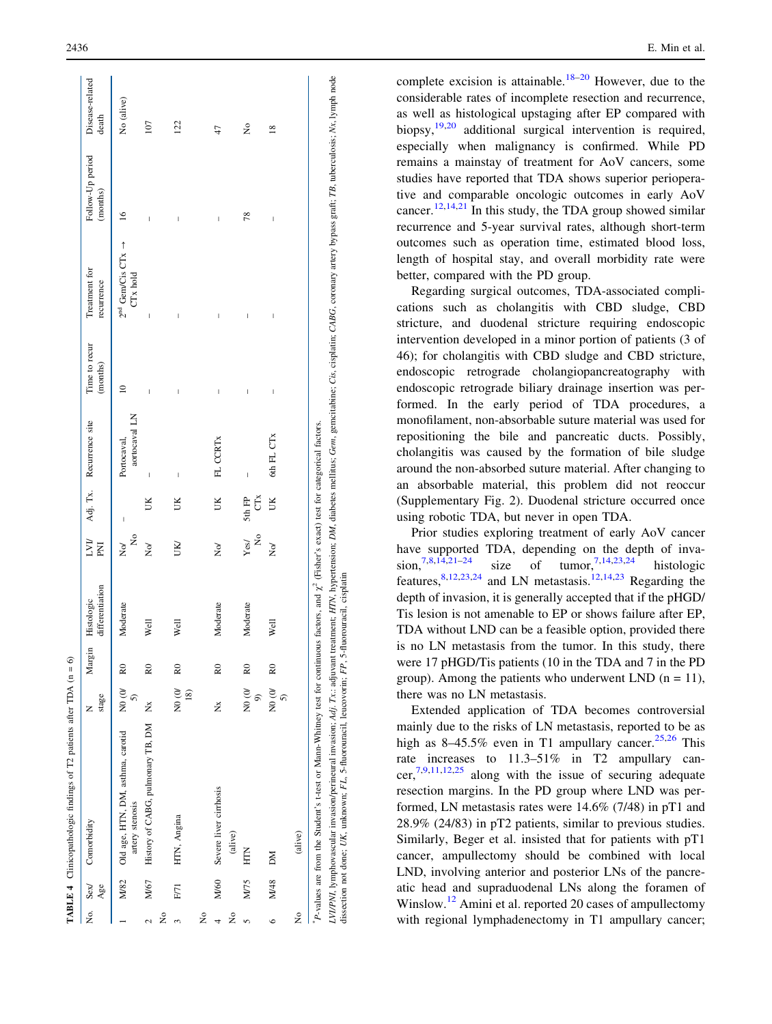|                  |      | TABLE 4 Clinicopathologic findings of $T2$ patients after TDA ( $n = 6$ )                                                                                                                                                                                                                                                        |                                  |                |                               |                                   |                                |                              |                           |                                                  |                              |                          |
|------------------|------|----------------------------------------------------------------------------------------------------------------------------------------------------------------------------------------------------------------------------------------------------------------------------------------------------------------------------------|----------------------------------|----------------|-------------------------------|-----------------------------------|--------------------------------|------------------------------|---------------------------|--------------------------------------------------|------------------------------|--------------------------|
|                  | Age  | No. Sex/ Comorbidity                                                                                                                                                                                                                                                                                                             | stage<br>Z                       | Margin         | differentiation<br>Histologic | LVII<br>K                         |                                | Adj. Tx. Recurrence site     | Time to recur<br>(months) | Treatment for<br>recurrence                      | Follow-Up period<br>(months) | Disease-related<br>death |
|                  | M/82 | Old age, HTN, DM, asthma, carotid<br>artery stenosis                                                                                                                                                                                                                                                                             | N0(0)<br>$\widehat{5}$           | $_{\rm R0}$    | Moderate                      | ž<br>$\geq$                       | $\overline{\phantom{a}}$       | aortocaval LN<br>Portocaval, | $\subseteq$               | $2^{nd}$ Gem/Cis CTx $\rightarrow$<br>$CTx$ hold | $\leq$                       | No (alive)               |
| $\tilde{z}$<br>2 | M/67 | History of CABG, pulmonary TB, DM Nx                                                                                                                                                                                                                                                                                             |                                  | R <sub>0</sub> | Well                          | $\geq$                            | Ж                              | $\overline{\phantom{a}}$     | ľ                         | J                                                | ľ                            | 107                      |
| $\epsilon$       | F/71 | HTN, Angina                                                                                                                                                                                                                                                                                                                      | N0(0)<br>$\overline{18}$         | R <sub>0</sub> | Well                          | <b>IXI</b>                        | UК                             | $\overline{\phantom{a}}$     | J                         | J                                                | ľ                            | 122                      |
| ž                |      |                                                                                                                                                                                                                                                                                                                                  |                                  |                |                               |                                   |                                |                              |                           |                                                  |                              |                          |
| 4                |      | M/60 Severe liver cirrhosis                                                                                                                                                                                                                                                                                                      | ž                                | $_{\rm R0}$    | Moderate                      | $\geq$                            | Š                              | FL CCRTx                     | $\overline{\phantom{a}}$  | I                                                | I                            | 47                       |
| ž                |      | (alive)                                                                                                                                                                                                                                                                                                                          |                                  |                |                               |                                   |                                |                              |                           |                                                  |                              |                          |
| 5                | M/75 | HTN                                                                                                                                                                                                                                                                                                                              | N0(0)<br>$\widehat{\mathcal{C}}$ | R <sub>0</sub> | Moderate                      | $\mathsf{S}^{\mathsf{O}}$<br>Yesl | $\tilde{C}^{\times}$<br>5th FP | $\overline{1}$               | I                         | J                                                | 78                           | ž                        |
| $\circ$          | M/48 | DМ                                                                                                                                                                                                                                                                                                                               | $\frac{1}{2}$<br>5)              | R <sub>0</sub> | Well                          | $\overline{\mathsf{x}}$           | $\mathbb{R}$                   | 6th FL CTx                   | $\overline{\phantom{a}}$  | $\overline{\phantom{a}}$                         | $\overline{\phantom{a}}$     | $\frac{8}{2}$            |
| 2                |      | (alive)                                                                                                                                                                                                                                                                                                                          |                                  |                |                               |                                   |                                |                              |                           |                                                  |                              |                          |
|                  |      | P-values are from the Student's t-test or Mann-Whitney test for continuous factors, and $\chi^2$ (Fisher's exact) test for categorical factors.                                                                                                                                                                                  |                                  |                |                               |                                   |                                |                              |                           |                                                  |                              |                          |
|                  |      | LVIPNI, lymphovascular invasion/perineural invasion; Adj. Tx: adjuvant treatment; HTN, hypertension; DM, diabetes mellitus; Gem, gemcitabine; Cis, cisplatin; CABG, coronary artery bypass graft; TB, tuberculosis; Nx, lymph<br>dissection not done; UK, unknown; FL, 5-fluorouracil, leucovorin; FP, 5-fluorouracil, cisplatin |                                  |                |                               |                                   |                                |                              |                           |                                                  |                              |                          |

<span id="page-7-0"></span> $2436$  E. Min et al.

complete excision is attainable.<sup>[18](#page-10-0)-[20](#page-10-0)</sup> However, due to the considerable rates of incomplete resection and recurrence, as well as histological upstaging after EP compared with biopsy,<sup>[19](#page-10-0),[20](#page-10-0)</sup> additional surgical intervention is required, especially when malignancy is confirmed. While PD remains a mainstay of treatment for AoV cancers, some studies have reported that TDA shows superior perioperative and comparable oncologic outcomes in early AoV cancer.<sup>[12](#page-10-0)[,14](#page-10-0),[21](#page-10-0)</sup> In this study, the TDA group showed similar recurrence and 5-year survival rates, although short-term outcomes such as operation time, estimated blood loss, length of hospital stay, and overall morbidity rate were better, compared with the PD group.

Regarding surgical outcomes, TDA-associated complications such as cholangitis with CBD sludge, CBD stricture, and duodenal stricture requiring endoscopic intervention developed in a minor portion of patients (3 of 46); for cholangitis with CBD sludge and CBD stricture, endoscopic retrograde cholangiopancreatography with endoscopic retrograde biliary drainage insertion was performed. In the early period of TDA procedures, a monofilament, non-absorbable suture material was used for repositioning the bile and pancreatic ducts. Possibly, cholangitis was caused by the formation of bile sludge around the non-absorbed suture material. After changing to an absorbable material, this problem did not reoccur (Supplementary Fig. 2). Duodenal stricture occurred once using robotic TDA, but never in open TDA.

Prior studies exploring treatment of early AoV cancer have supported TDA, depending on the depth of inva-sion,<sup>[7,8,14,21–24](#page-10-0)</sup> size of tumor,<sup>[7,14,23,24](#page-10-0)</sup> histologic features,  $8,12,23,24$  $8,12,23,24$  $8,12,23,24$  $8,12,23,24$  $8,12,23,24$  $8,12,23,24$  and LN metastasis.<sup>12[,14](#page-10-0),[23](#page-10-0)</sup> Regarding the depth of invasion, it is generally accepted that if the pHGD/ Tis lesion is not amenable to EP or shows failure after EP, TDA without LND can be a feasible option, provided there is no LN metastasis from the tumor. In this study, there were 17 pHGD/Tis patients (10 in the TDA and 7 in the PD group). Among the patients who underwent LND  $(n = 11)$ , there was no LN metastasis.

Extended application of TDA becomes controversial mainly due to the risks of LN metastasis, reported to be as high as  $8-45.5\%$  even in T1 ampullary cancer.<sup>[25](#page-10-0),[26](#page-10-0)</sup> This rate increases to 11.3–51% in T2 ampullary cancer, $7,9,11,12,25$  along with the issue of securing adequate resection margins. In the PD group where LND was performed, LN metastasis rates were 14.6% (7/48) in pT1 and 28.9% (24/83) in pT2 patients, similar to previous studies. Similarly, Beger et al. insisted that for patients with pT1 cancer, ampullectomy should be combined with local LND, involving anterior and posterior LNs of the pancreatic head and supraduodenal LNs along the foramen of Winslow.<sup>[12](#page-10-0)</sup> Amini et al. reported 20 cases of ampullectomy with regional lymphadenectomy in T1 ampullary cancer;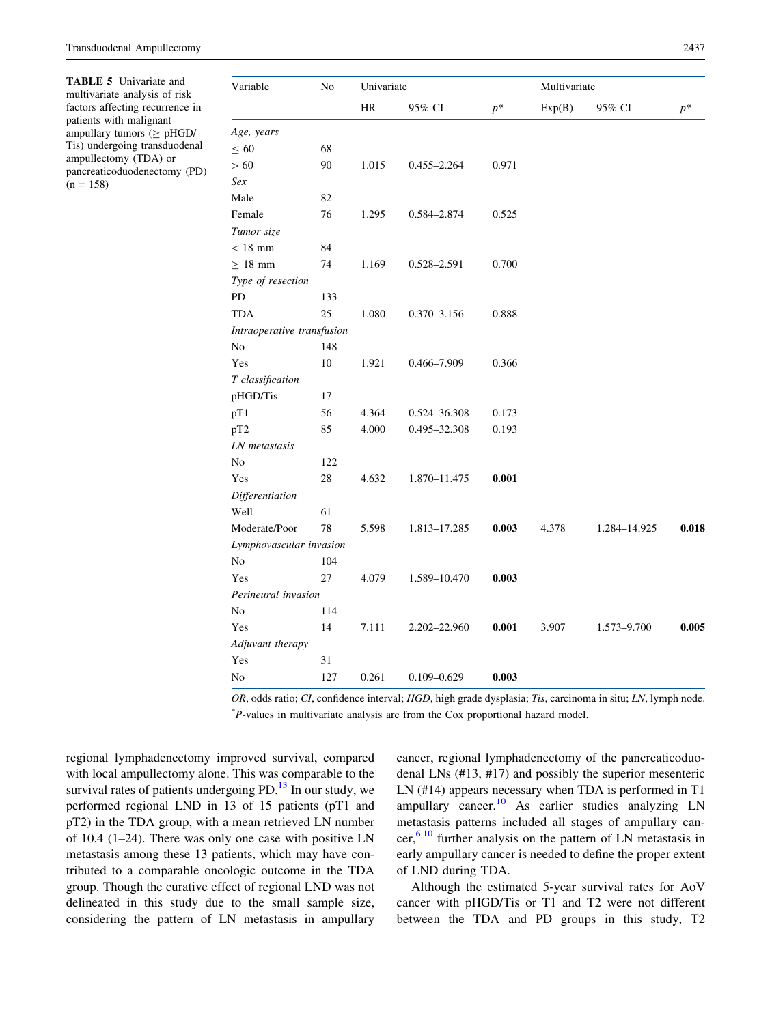<span id="page-8-0"></span>TABLE 5 Univariate and multivariate analysis of risk factors affecting recurrence in patients with malignant ampullary tumors ( $\geq$  pHGD/ Tis) undergoing transduodenal ampullectomy (TDA) or pancreaticoduodenectomy (PD)  $(n = 158)$ 

| Variable                   | No  | Univariate |                 |       | Multivariate |              |       |
|----------------------------|-----|------------|-----------------|-------|--------------|--------------|-------|
|                            |     | <b>HR</b>  | 95% CI          | $p^*$ | Exp(B)       | 95% CI       | $p^*$ |
| Age, years                 |     |            |                 |       |              |              |       |
| $\leq 60$                  | 68  |            |                 |       |              |              |       |
| >60                        | 90  | 1.015      | $0.455 - 2.264$ | 0.971 |              |              |       |
| Sex                        |     |            |                 |       |              |              |       |
| Male                       | 82  |            |                 |       |              |              |       |
| Female                     | 76  | 1.295      | 0.584-2.874     | 0.525 |              |              |       |
| Tumor size                 |     |            |                 |       |              |              |       |
| $< 18$ mm                  | 84  |            |                 |       |              |              |       |
| $\geq 18$ mm               | 74  | 1.169      | 0.528-2.591     | 0.700 |              |              |       |
| Type of resection          |     |            |                 |       |              |              |       |
| PD                         | 133 |            |                 |       |              |              |       |
| <b>TDA</b>                 | 25  | 1.080      | $0.370 - 3.156$ | 0.888 |              |              |       |
| Intraoperative transfusion |     |            |                 |       |              |              |       |
| No                         | 148 |            |                 |       |              |              |       |
| Yes                        | 10  | 1.921      | 0.466-7.909     | 0.366 |              |              |       |
| T classification           |     |            |                 |       |              |              |       |
| pHGD/Tis                   | 17  |            |                 |       |              |              |       |
| pT1                        | 56  | 4.364      | 0.524-36.308    | 0.173 |              |              |       |
| pT <sub>2</sub>            | 85  | 4.000      | 0.495-32.308    | 0.193 |              |              |       |
| LN metastasis              |     |            |                 |       |              |              |       |
| No                         | 122 |            |                 |       |              |              |       |
| Yes                        | 28  | 4.632      | 1.870-11.475    | 0.001 |              |              |       |
| Differentiation            |     |            |                 |       |              |              |       |
| Well                       | 61  |            |                 |       |              |              |       |
| Moderate/Poor              | 78  | 5.598      | 1.813-17.285    | 0.003 | 4.378        | 1.284-14.925 | 0.018 |
| Lymphovascular invasion    |     |            |                 |       |              |              |       |
| No                         | 104 |            |                 |       |              |              |       |
| Yes                        | 27  | 4.079      | 1.589-10.470    | 0.003 |              |              |       |
| Perineural invasion        |     |            |                 |       |              |              |       |
| No                         | 114 |            |                 |       |              |              |       |
| Yes                        | 14  | 7.111      | 2.202-22.960    | 0.001 | 3.907        | 1.573-9.700  | 0.005 |
| Adjuvant therapy           |     |            |                 |       |              |              |       |
| Yes                        | 31  |            |                 |       |              |              |       |
| No                         | 127 | 0.261      | $0.109 - 0.629$ | 0.003 |              |              |       |

OR, odds ratio; CI, confidence interval; HGD, high grade dysplasia; Tis, carcinoma in situ; LN, lymph node. \* P-values in multivariate analysis are from the Cox proportional hazard model.

regional lymphadenectomy improved survival, compared with local ampullectomy alone. This was comparable to the survival rates of patients undergoing  $PD<sup>13</sup>$  $PD<sup>13</sup>$  $PD<sup>13</sup>$  In our study, we performed regional LND in 13 of 15 patients (pT1 and pT2) in the TDA group, with a mean retrieved LN number of 10.4 (1–24). There was only one case with positive LN metastasis among these 13 patients, which may have contributed to a comparable oncologic outcome in the TDA group. Though the curative effect of regional LND was not delineated in this study due to the small sample size, considering the pattern of LN metastasis in ampullary cancer, regional lymphadenectomy of the pancreaticoduodenal LNs (#13, #17) and possibly the superior mesenteric LN (#14) appears necessary when TDA is performed in T1 ampullary cancer.[10](#page-10-0) As earlier studies analyzing LN metastasis patterns included all stages of ampullary can $c$ er,<sup>[6,10](#page-10-0)</sup> further analysis on the pattern of LN metastasis in early ampullary cancer is needed to define the proper extent of LND during TDA.

Although the estimated 5-year survival rates for AoV cancer with pHGD/Tis or T1 and T2 were not different between the TDA and PD groups in this study, T2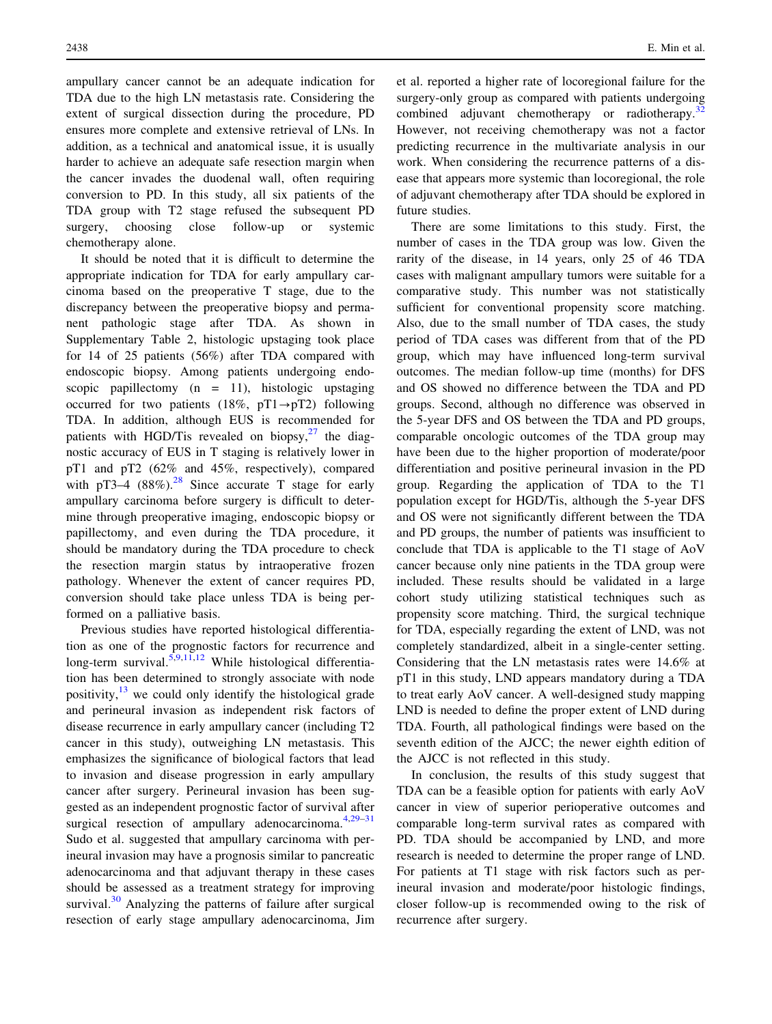ampullary cancer cannot be an adequate indication for TDA due to the high LN metastasis rate. Considering the extent of surgical dissection during the procedure, PD ensures more complete and extensive retrieval of LNs. In addition, as a technical and anatomical issue, it is usually harder to achieve an adequate safe resection margin when the cancer invades the duodenal wall, often requiring conversion to PD. In this study, all six patients of the TDA group with T2 stage refused the subsequent PD surgery, choosing close follow-up or systemic chemotherapy alone.

It should be noted that it is difficult to determine the appropriate indication for TDA for early ampullary carcinoma based on the preoperative T stage, due to the discrepancy between the preoperative biopsy and permanent pathologic stage after TDA. As shown in Supplementary Table 2, histologic upstaging took place for 14 of 25 patients (56%) after TDA compared with endoscopic biopsy. Among patients undergoing endoscopic papillectomy  $(n = 11)$ , histologic upstaging occurred for two patients (18%,  $pT1 \rightarrow pT2$ ) following TDA. In addition, although EUS is recommended for patients with HGD/Tis revealed on biopsy, $27$  the diagnostic accuracy of EUS in T staging is relatively lower in pT1 and pT2 (62% and 45%, respectively), compared with pT3–4  $(88\%)$ .<sup>[28](#page-10-0)</sup> Since accurate T stage for early ampullary carcinoma before surgery is difficult to determine through preoperative imaging, endoscopic biopsy or papillectomy, and even during the TDA procedure, it should be mandatory during the TDA procedure to check the resection margin status by intraoperative frozen pathology. Whenever the extent of cancer requires PD, conversion should take place unless TDA is being performed on a palliative basis.

Previous studies have reported histological differentiation as one of the prognostic factors for recurrence and long-term survival.<sup>[5,9,11,12](#page-10-0)</sup> While histological differentiation has been determined to strongly associate with node positivity, $13$  we could only identify the histological grade and perineural invasion as independent risk factors of disease recurrence in early ampullary cancer (including T2 cancer in this study), outweighing LN metastasis. This emphasizes the significance of biological factors that lead to invasion and disease progression in early ampullary cancer after surgery. Perineural invasion has been suggested as an independent prognostic factor of survival after surgical resection of ampullary adenocarcinoma. $4,29-31$  $4,29-31$ Sudo et al. suggested that ampullary carcinoma with perineural invasion may have a prognosis similar to pancreatic adenocarcinoma and that adjuvant therapy in these cases should be assessed as a treatment strategy for improving survival.<sup>[30](#page-10-0)</sup> Analyzing the patterns of failure after surgical resection of early stage ampullary adenocarcinoma, Jim et al. reported a higher rate of locoregional failure for the surgery-only group as compared with patients undergoing combined adjuvant chemotherapy or radiotherapy.<sup>[32](#page-11-0)</sup> However, not receiving chemotherapy was not a factor predicting recurrence in the multivariate analysis in our work. When considering the recurrence patterns of a disease that appears more systemic than locoregional, the role of adjuvant chemotherapy after TDA should be explored in future studies.

There are some limitations to this study. First, the number of cases in the TDA group was low. Given the rarity of the disease, in 14 years, only 25 of 46 TDA cases with malignant ampullary tumors were suitable for a comparative study. This number was not statistically sufficient for conventional propensity score matching. Also, due to the small number of TDA cases, the study period of TDA cases was different from that of the PD group, which may have influenced long-term survival outcomes. The median follow-up time (months) for DFS and OS showed no difference between the TDA and PD groups. Second, although no difference was observed in the 5-year DFS and OS between the TDA and PD groups, comparable oncologic outcomes of the TDA group may have been due to the higher proportion of moderate/poor differentiation and positive perineural invasion in the PD group. Regarding the application of TDA to the T1 population except for HGD/Tis, although the 5-year DFS and OS were not significantly different between the TDA and PD groups, the number of patients was insufficient to conclude that TDA is applicable to the T1 stage of AoV cancer because only nine patients in the TDA group were included. These results should be validated in a large cohort study utilizing statistical techniques such as propensity score matching. Third, the surgical technique for TDA, especially regarding the extent of LND, was not completely standardized, albeit in a single-center setting. Considering that the LN metastasis rates were 14.6% at pT1 in this study, LND appears mandatory during a TDA to treat early AoV cancer. A well-designed study mapping LND is needed to define the proper extent of LND during TDA. Fourth, all pathological findings were based on the seventh edition of the AJCC; the newer eighth edition of the AJCC is not reflected in this study.

In conclusion, the results of this study suggest that TDA can be a feasible option for patients with early AoV cancer in view of superior perioperative outcomes and comparable long-term survival rates as compared with PD. TDA should be accompanied by LND, and more research is needed to determine the proper range of LND. For patients at T1 stage with risk factors such as perineural invasion and moderate/poor histologic findings, closer follow-up is recommended owing to the risk of recurrence after surgery.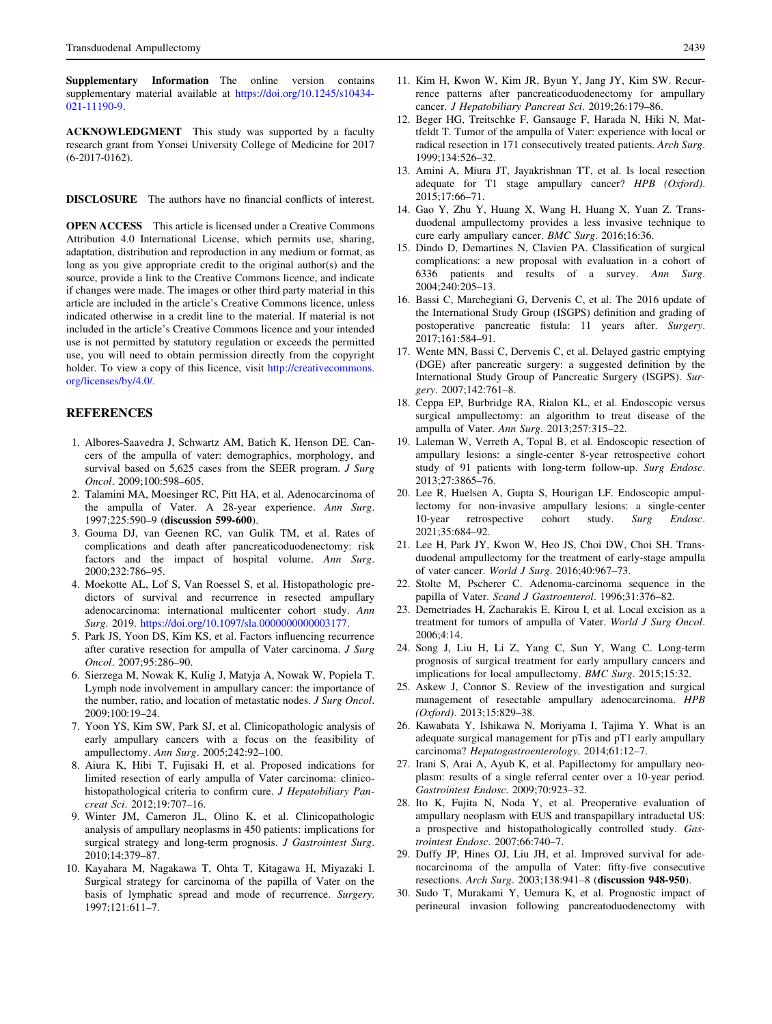<span id="page-10-0"></span>Supplementary Information The online version contains supplementary material available at [https://doi.org/10.1245/s10434-](https://doi.org/10.1245/s10434-021-11190-9) [021-11190-9.](https://doi.org/10.1245/s10434-021-11190-9)

ACKNOWLEDGMENT This study was supported by a faculty research grant from Yonsei University College of Medicine for 2017 (6-2017-0162).

DISCLOSURE The authors have no financial conflicts of interest.

OPEN ACCESS This article is licensed under a Creative Commons Attribution 4.0 International License, which permits use, sharing, adaptation, distribution and reproduction in any medium or format, as long as you give appropriate credit to the original author(s) and the source, provide a link to the Creative Commons licence, and indicate if changes were made. The images or other third party material in this article are included in the article's Creative Commons licence, unless indicated otherwise in a credit line to the material. If material is not included in the article's Creative Commons licence and your intended use is not permitted by statutory regulation or exceeds the permitted use, you will need to obtain permission directly from the copyright holder. To view a copy of this licence, visit [http://creativecommons.](http://creativecommons.org/licenses/by/4.0/) [org/licenses/by/4.0/.](http://creativecommons.org/licenses/by/4.0/)

#### **REFERENCES**

- 1. Albores-Saavedra J, Schwartz AM, Batich K, Henson DE. Cancers of the ampulla of vater: demographics, morphology, and survival based on 5,625 cases from the SEER program. *J Surg* Oncol. 2009;100:598–605.
- 2. Talamini MA, Moesinger RC, Pitt HA, et al. Adenocarcinoma of the ampulla of Vater. A 28-year experience. Ann Surg. 1997;225:590–9 (discussion 599-600).
- 3. Gouma DJ, van Geenen RC, van Gulik TM, et al. Rates of complications and death after pancreaticoduodenectomy: risk factors and the impact of hospital volume. Ann Surg. 2000;232:786–95.
- 4. Moekotte AL, Lof S, Van Roessel S, et al. Histopathologic predictors of survival and recurrence in resected ampullary adenocarcinoma: international multicenter cohort study. Ann Surg. 2019. [https://doi.org/10.1097/sla.0000000000003177.](https://doi.org/10.1097/sla.0000000000003177)
- 5. Park JS, Yoon DS, Kim KS, et al. Factors influencing recurrence after curative resection for ampulla of Vater carcinoma. J Surg Oncol. 2007;95:286–90.
- 6. Sierzega M, Nowak K, Kulig J, Matyja A, Nowak W, Popiela T. Lymph node involvement in ampullary cancer: the importance of the number, ratio, and location of metastatic nodes. J Surg Oncol. 2009;100:19–24.
- 7. Yoon YS, Kim SW, Park SJ, et al. Clinicopathologic analysis of early ampullary cancers with a focus on the feasibility of ampullectomy. Ann Surg. 2005;242:92–100.
- 8. Aiura K, Hibi T, Fujisaki H, et al. Proposed indications for limited resection of early ampulla of Vater carcinoma: clinicohistopathological criteria to confirm cure. J Hepatobiliary Pancreat Sci. 2012;19:707–16.
- 9. Winter JM, Cameron JL, Olino K, et al. Clinicopathologic analysis of ampullary neoplasms in 450 patients: implications for surgical strategy and long-term prognosis. J Gastrointest Surg. 2010;14:379–87.
- 10. Kayahara M, Nagakawa T, Ohta T, Kitagawa H, Miyazaki I. Surgical strategy for carcinoma of the papilla of Vater on the basis of lymphatic spread and mode of recurrence. Surgery. 1997;121:611–7.
- 11. Kim H, Kwon W, Kim JR, Byun Y, Jang JY, Kim SW. Recurrence patterns after pancreaticoduodenectomy for ampullary cancer. J Hepatobiliary Pancreat Sci. 2019;26:179–86.
- 12. Beger HG, Treitschke F, Gansauge F, Harada N, Hiki N, Mattfeldt T. Tumor of the ampulla of Vater: experience with local or radical resection in 171 consecutively treated patients. Arch Surg. 1999;134:526–32.
- 13. Amini A, Miura JT, Jayakrishnan TT, et al. Is local resection adequate for T1 stage ampullary cancer? HPB (Oxford). 2015;17:66–71.
- 14. Gao Y, Zhu Y, Huang X, Wang H, Huang X, Yuan Z. Transduodenal ampullectomy provides a less invasive technique to cure early ampullary cancer. BMC Surg. 2016;16:36.
- 15. Dindo D, Demartines N, Clavien PA. Classification of surgical complications: a new proposal with evaluation in a cohort of 6336 patients and results of a survey. Ann Surg. 2004;240:205–13.
- 16. Bassi C, Marchegiani G, Dervenis C, et al. The 2016 update of the International Study Group (ISGPS) definition and grading of postoperative pancreatic fistula: 11 years after. Surgery. 2017;161:584–91.
- 17. Wente MN, Bassi C, Dervenis C, et al. Delayed gastric emptying (DGE) after pancreatic surgery: a suggested definition by the International Study Group of Pancreatic Surgery (ISGPS). Surgery. 2007;142:761–8.
- 18. Ceppa EP, Burbridge RA, Rialon KL, et al. Endoscopic versus surgical ampullectomy: an algorithm to treat disease of the ampulla of Vater. Ann Surg. 2013;257:315–22.
- 19. Laleman W, Verreth A, Topal B, et al. Endoscopic resection of ampullary lesions: a single-center 8-year retrospective cohort study of 91 patients with long-term follow-up. Surg Endosc. 2013;27:3865–76.
- 20. Lee R, Huelsen A, Gupta S, Hourigan LF. Endoscopic ampullectomy for non-invasive ampullary lesions: a single-center 10-year retrospective cohort study. Surg Endosc. 2021;35:684–92.
- 21. Lee H, Park JY, Kwon W, Heo JS, Choi DW, Choi SH. Transduodenal ampullectomy for the treatment of early-stage ampulla of vater cancer. World J Surg. 2016;40:967–73.
- 22. Stolte M, Pscherer C. Adenoma-carcinoma sequence in the papilla of Vater. Scand J Gastroenterol. 1996;31:376–82.
- 23. Demetriades H, Zacharakis E, Kirou I, et al. Local excision as a treatment for tumors of ampulla of Vater. World J Surg Oncol. 2006;4:14.
- 24. Song J, Liu H, Li Z, Yang C, Sun Y, Wang C. Long-term prognosis of surgical treatment for early ampullary cancers and implications for local ampullectomy. BMC Surg. 2015;15:32.
- 25. Askew J, Connor S. Review of the investigation and surgical management of resectable ampullary adenocarcinoma. HPB (Oxford). 2013;15:829–38.
- 26. Kawabata Y, Ishikawa N, Moriyama I, Tajima Y. What is an adequate surgical management for pTis and pT1 early ampullary carcinoma? Hepatogastroenterology. 2014;61:12–7.
- 27. Irani S, Arai A, Ayub K, et al. Papillectomy for ampullary neoplasm: results of a single referral center over a 10-year period. Gastrointest Endosc. 2009;70:923–32.
- 28. Ito K, Fujita N, Noda Y, et al. Preoperative evaluation of ampullary neoplasm with EUS and transpapillary intraductal US: a prospective and histopathologically controlled study. Gastrointest Endosc. 2007;66:740–7.
- 29. Duffy JP, Hines OJ, Liu JH, et al. Improved survival for adenocarcinoma of the ampulla of Vater: fifty-five consecutive resections. Arch Surg. 2003;138:941–8 (discussion 948-950).
- 30. Sudo T, Murakami Y, Uemura K, et al. Prognostic impact of perineural invasion following pancreatoduodenectomy with